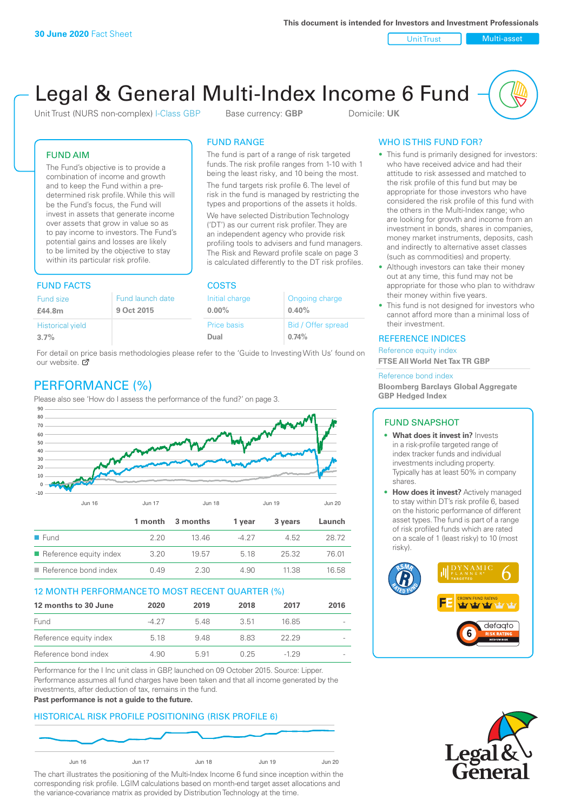Unit Trust Nulti-asset

# Legal & General Multi-Index Income 6 Fund

Unit Trust (NURS non-complex) I-Class GBP Base currency: **GBP** Domicile: UK

The fund is part of a range of risk targeted funds. The risk profile ranges from 1-10 with 1 being the least risky, and 10 being the most. The fund targets risk profile 6. The level of risk in the fund is managed by restricting the types and proportions of the assets it holds. We have selected Distribution Technology ('DT') as our current risk profiler. They are an independent agency who provide risk profiling tools to advisers and fund managers. The Risk and Reward profile scale on page 3 is calculated differently to the DT risk profiles.

FUND RANGE

Offer spread

#### FUND AIM

The Fund's objective is to provide a combination of income and growth and to keep the Fund within a predetermined risk profile. While this will be the Fund's focus, the Fund will invest in assets that generate income over assets that grow in value so as to pay income to investors. The Fund's potential gains and losses are likely to be limited by the objective to stay within its particular risk profile.

## FUND FACTS COSTS

| Fund size<br>£44.8m     | Fund launch date<br>9 Oct 2015 | Initial charge<br>$0.00\%$ | Ongoing charge<br>0.40% |  |
|-------------------------|--------------------------------|----------------------------|-------------------------|--|
| <b>Historical yield</b> |                                | Price basis                | Bid / Offer sprea       |  |
| 3.7%                    |                                | Dual                       | 0.74%                   |  |

For detail on price basis methodologies please refer to the 'Guide to Investing With Us' found on our website. Ø

# PERFORMANCE (%)

Please also see 'How do I assess the performance of the fund?' on page 3.



#### 12 MONTH PERFORMANCE TO MOST RECENT QUARTER (%)

| 12 months to 30 June   | 2020  | 2019 | 2018 | 2017   | 2016   |
|------------------------|-------|------|------|--------|--------|
| Fund                   | -4.27 | 548  | 3.51 | 16.85  | $\sim$ |
| Reference equity index | 5.18  | 9.48 | 883  | 22.29  | $\sim$ |
| Reference bond index   | 4.90  | 591  | 0.25 | $-129$ | $\sim$ |

Performance for the I Inc unit class in GBP, launched on 09 October 2015. Source: Lipper. Performance assumes all fund charges have been taken and that all income generated by the investments, after deduction of tax, remains in the fund.

#### **Past performance is not a guide to the future.**

#### HISTORICAL RISK PROFILE POSITIONING (RISK PROFILE 6)



The chart illustrates the positioning of the Multi-Index Income 6 fund since inception within the corresponding risk profile. LGIM calculations based on month-end target asset allocations and the variance-covariance matrix as provided by Distribution Technology at the time.

#### WHO IS THIS FUND FOR?

- This fund is primarily designed for investors: who have received advice and had their attitude to risk assessed and matched to the risk profile of this fund but may be appropriate for those investors who have considered the risk profile of this fund with the others in the Multi-Index range; who are looking for growth and income from an investment in bonds, shares in companies, money market instruments, deposits, cash and indirectly to alternative asset classes (such as commodities) and property.
- Although investors can take their money out at any time, this fund may not be appropriate for those who plan to withdraw their money within five years.
- This fund is not designed for investors who cannot afford more than a minimal loss of their investment.

#### REFERENCE INDICES

Reference equity index **FTSE All World Net Tax TR GBP**

#### Reference bond index

**Bloomberg Barclays Global Aggregate GBP Hedged Index**

#### FUND SNAPSHOT

- **• What does it invest in?** Invests in a risk-profile targeted range of index tracker funds and individual investments including property. Typically has at least 50% in company shares.
- **• How does it invest?** Actively managed to stay within DT's risk profile 6, based on the historic performance of different asset types. The fund is part of a range of risk profiled funds which are rated on a scale of 1 (least risky) to 10 (most risky).



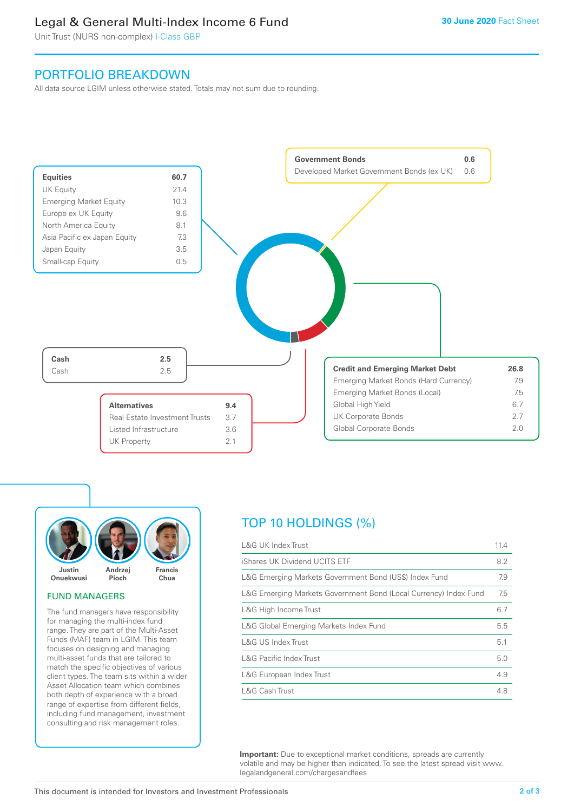## Legal & General Multi-Index Income 6 Fund

Unit Trust (NURS non-complex) I-Class GBP

## PORTFOLIO BREAKDOWN

All data source LGIM unless otherwise stated. Totals may not sum due to rounding.





#### FUND MANAGERS

The fund managers have responsibility for managing the multi-index fund range. They are part of the Multi-Asset Funds (MAF) team in LGIM. This team focuses on designing and managing multi-asset funds that are tailored to match the specific objectives of various client types. The team sits within a wider Asset Allocation team which combines both depth of experience with a broad range of expertise from different fields, including fund management, investment consulting and risk management roles.

# TOP 10 HOLDINGS (%)

| <b>L&amp;G UK Index Trust</b>                                    | 11.4 |
|------------------------------------------------------------------|------|
| iShares UK Dividend UCITS ETF                                    | 8.2  |
| L&G Emerging Markets Government Bond (US\$) Index Fund           | 7.9  |
| L&G Emerging Markets Government Bond (Local Currency) Index Fund | 7.5  |
| L&G High Income Trust                                            | 6.7  |
| L&G Global Emerging Markets Index Fund                           | 5.5  |
| L&G US Index Trust                                               | 5.1  |
| <b>L&amp;G Pacific Index Trust</b>                               | 5.0  |
| L&G European Index Trust                                         | 4.9  |
| L&G Cash Trust                                                   | 4.8  |

**Important:** Due to exceptional market conditions, spreads are currently volatile and may be higher than indicated. To see the latest spread visit www. legalandgeneral.com/chargesandfees